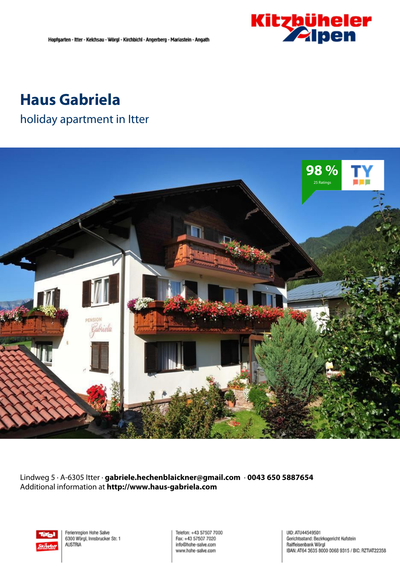

## **Haus Gabriela**

### holiday apartment in Itter



Lindweg 5 · A-6305 Itter · **gabriele.hechenblaickner@gmail.com** · **0043 650 5887654** Additional information at **http://www.haus-gabriela.com**



Ferienregion Hohe Salve 6300 Wörgl, Innsbrucker Str. 1 **AUSTRIA** 

Telefon: +43 57507 7000 Fax: +43 57507 7020 info@hohe-salve.com www.hohe-salve.com

UID: ATU44549501 Gerichtsstand: Bezirksgericht Kufstein Raiffeisenbank Wörgl IBAN: AT64 3635 8000 0068 9315 / BIC: RZTIAT22358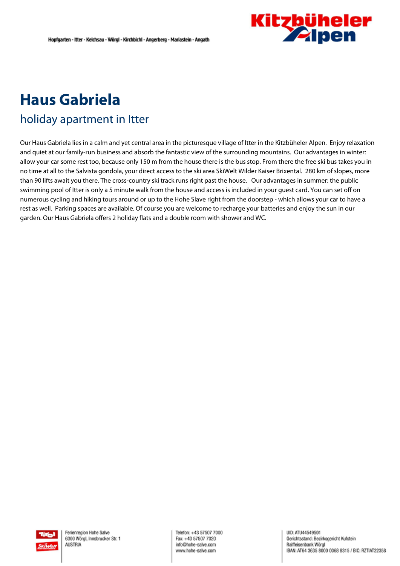

# **Haus Gabriela**

## holiday apartment in Itter

Our Haus Gabriela lies in <sup>a</sup> calm and yet central area in the picturesque village of Itter in the Kitzbüheler Alpen. Enjoy relaxation and quiet at our family-run business and absorb the fantastic view of the surrounding mountains. Our advantages in winter: allow your car some rest too, because only 150 <sup>m</sup> from the house there is the bus stop. From there the free ski bus takes you in no time at all to the Salvista gondola, your direct access to the ski area SkiWelt Wilder Kaiser Brixental. 280 km of slopes, more than 90 lifts await you there. The cross-country ski track runs right past the house. Our advantages in summer: the public swimming pool of Itter is only <sup>a</sup> 5 minute walk from the house and access is included in your guest card. You can set off on numerous cycling and hiking tours around or up to the Hohe Slave right from the doorstep - which allows your car to have <sup>a</sup> rest as well. Parking spaces are available. Of course you are welcome to recharge your batteries and enjoy the sun in our garden. Our Haus Gabriela offers 2 holiday flats and <sup>a</sup> double room with shower and WC.

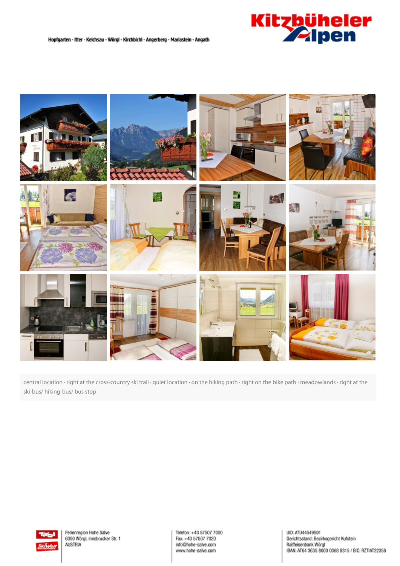



central location · right at the cross-country ski trail · quiet location · on the hiking path · right on the bike path · meadowlands · right at the ski-bus/ hiking-bus/ bus stop



Ferienregion Hohe Salve 6300 Wörgl, Innsbrucker Str. 1 **AUSTRIA** 

Telefon: +43 57507 7000 Fax: +43 57507 7020 info@hohe-salve.com www.hohe-salve.com

UID: ATU44549501 olic, Ario-433-8307<br>Gerichtsstand: Bezirksgericht Kufstein<br>Raiffeisenbank Wörgl